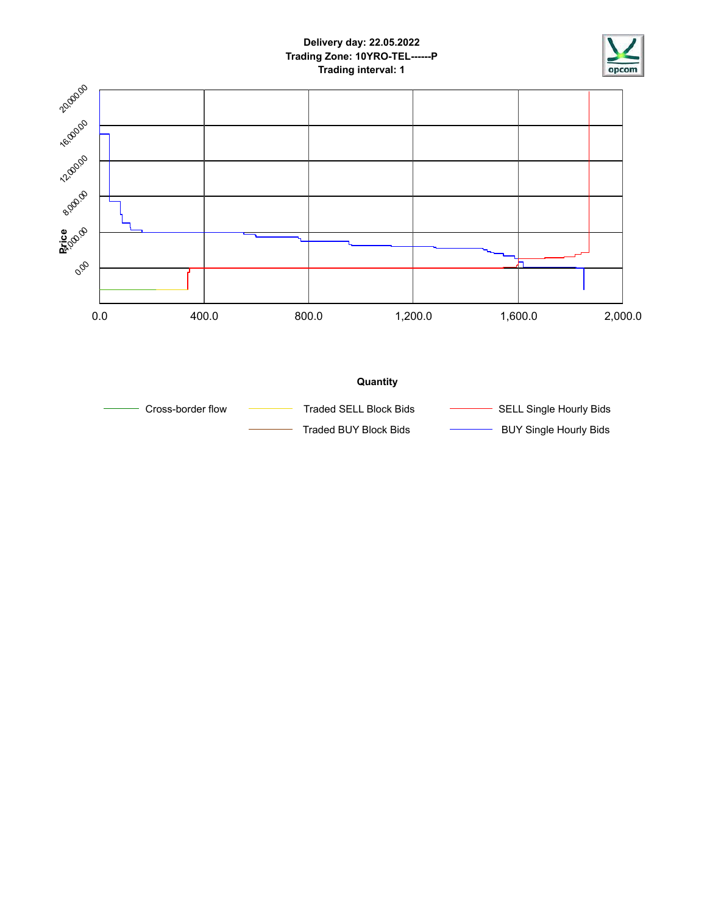

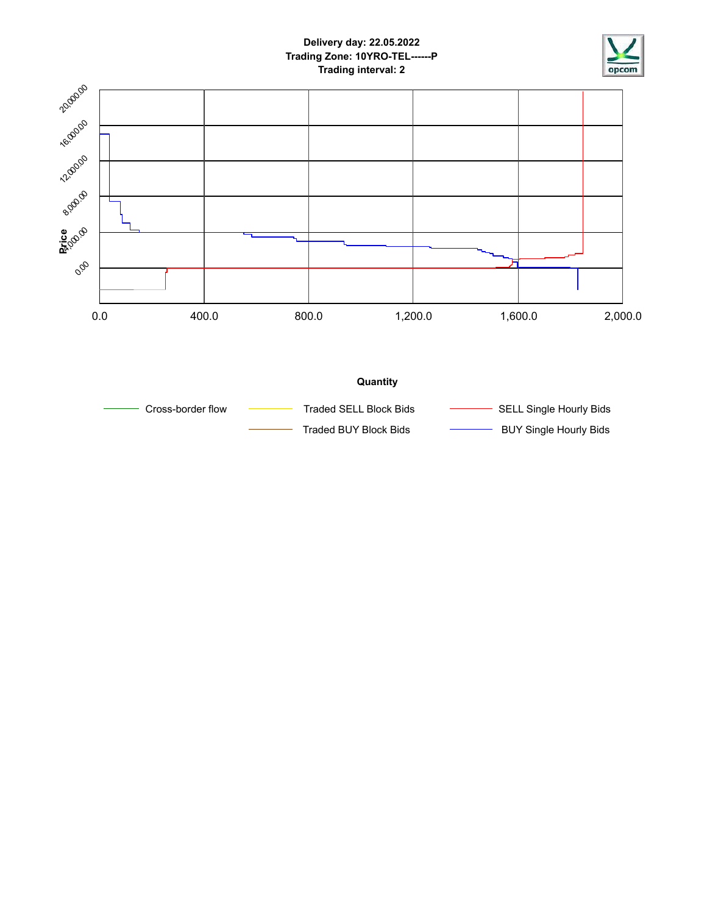

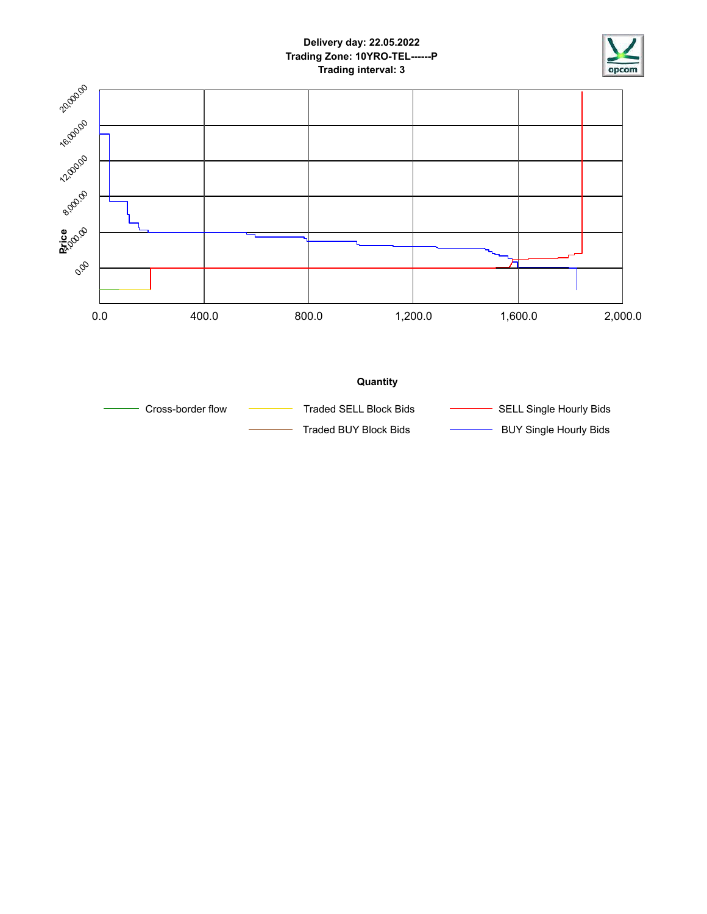

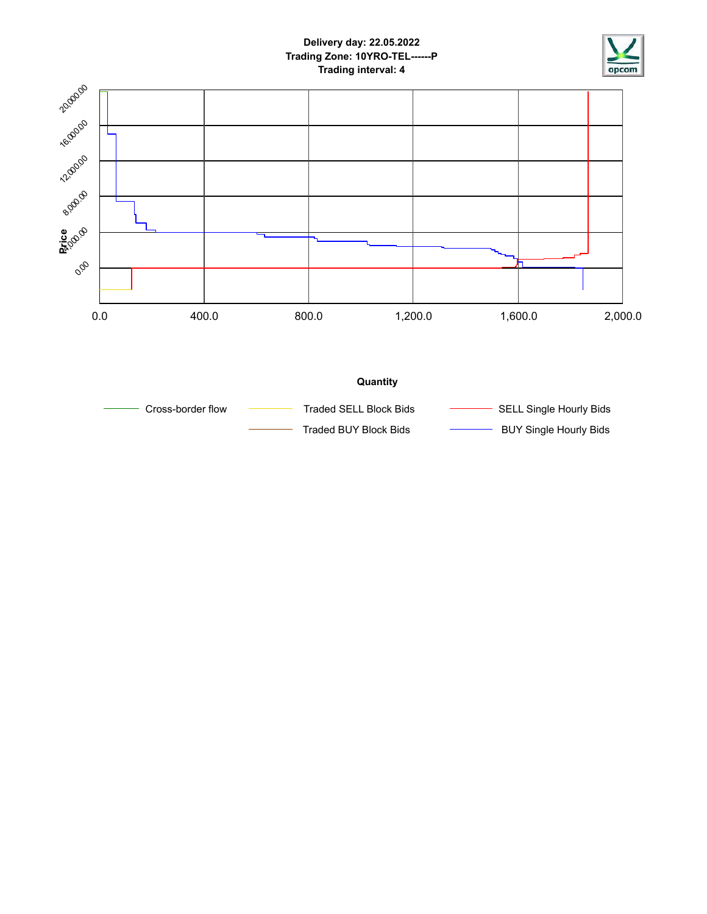

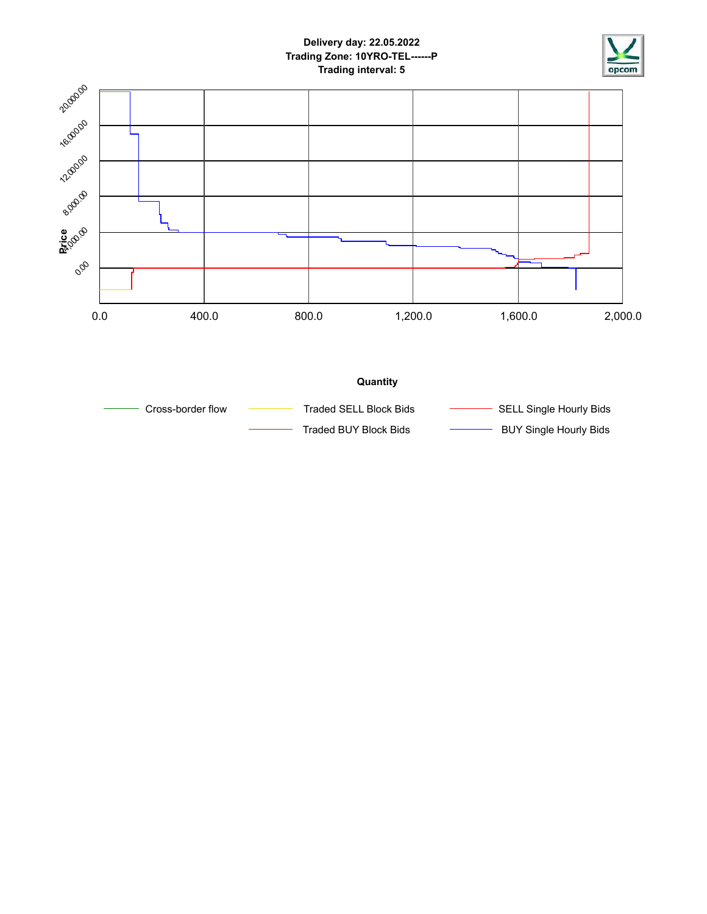

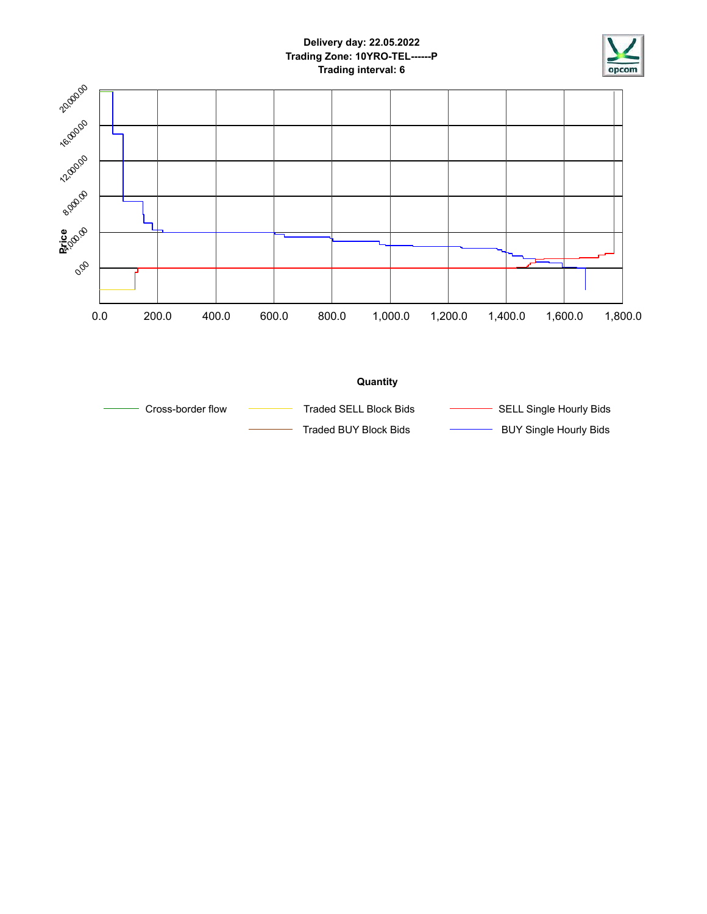

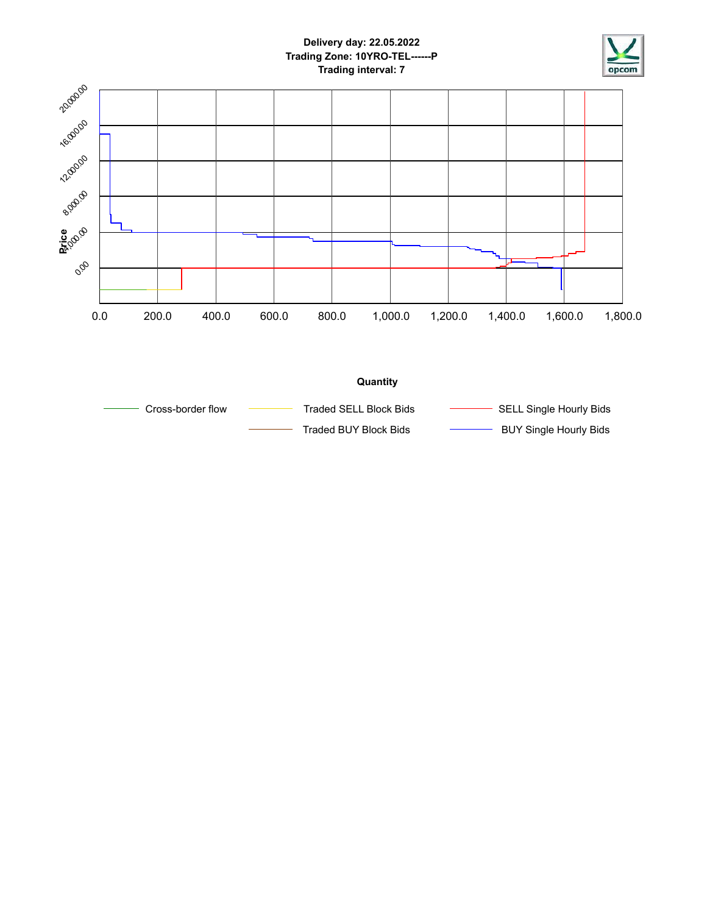

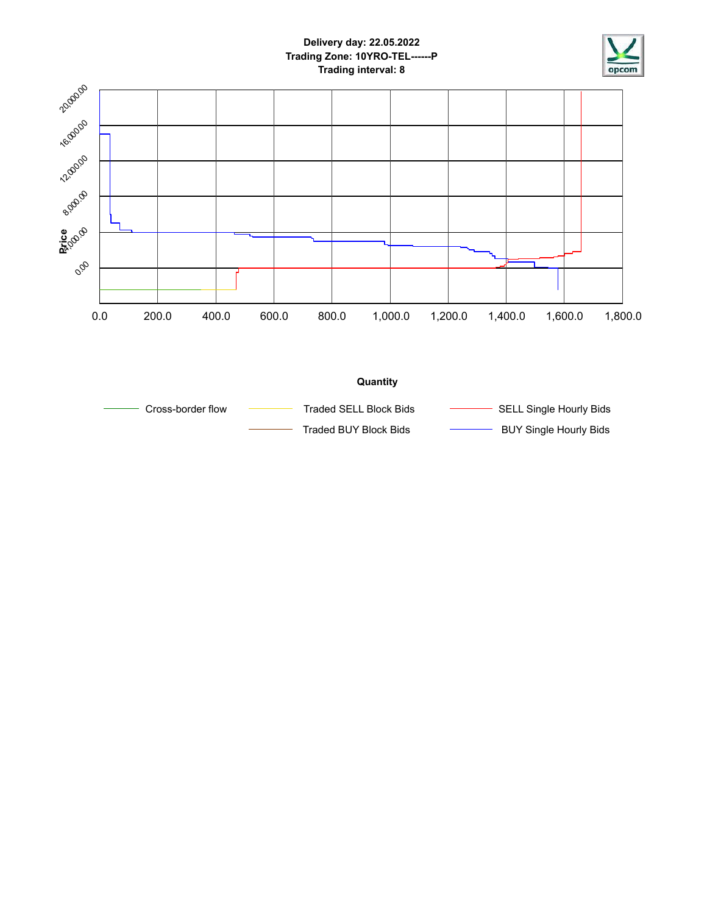

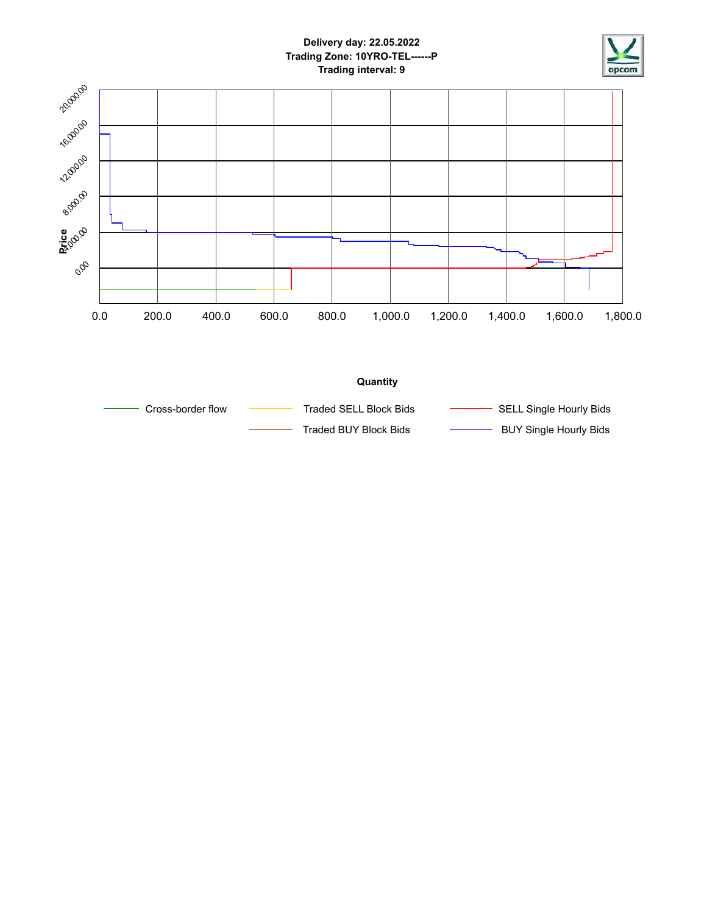

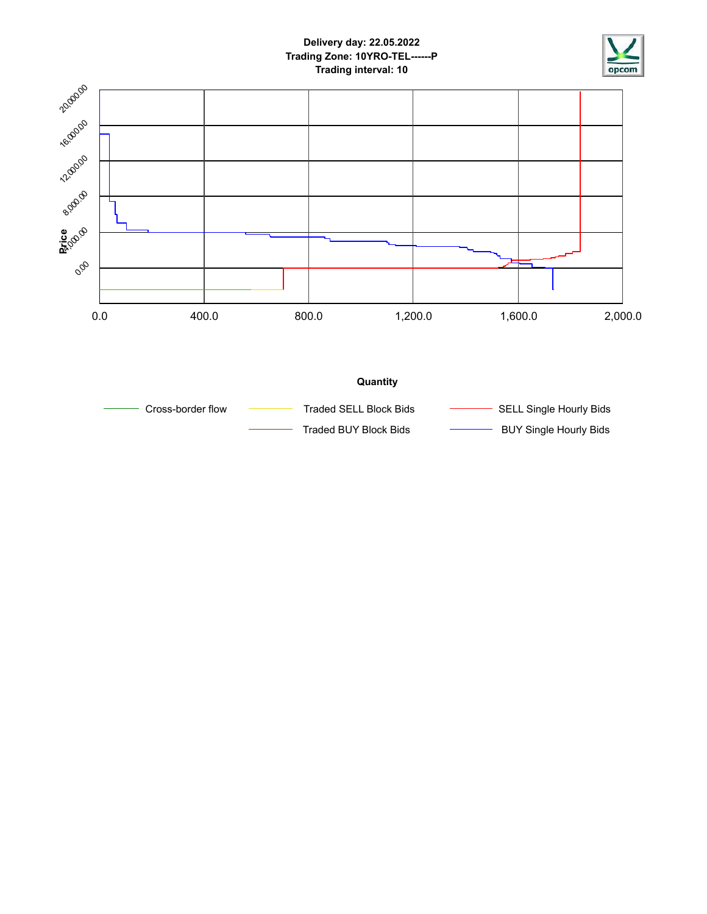

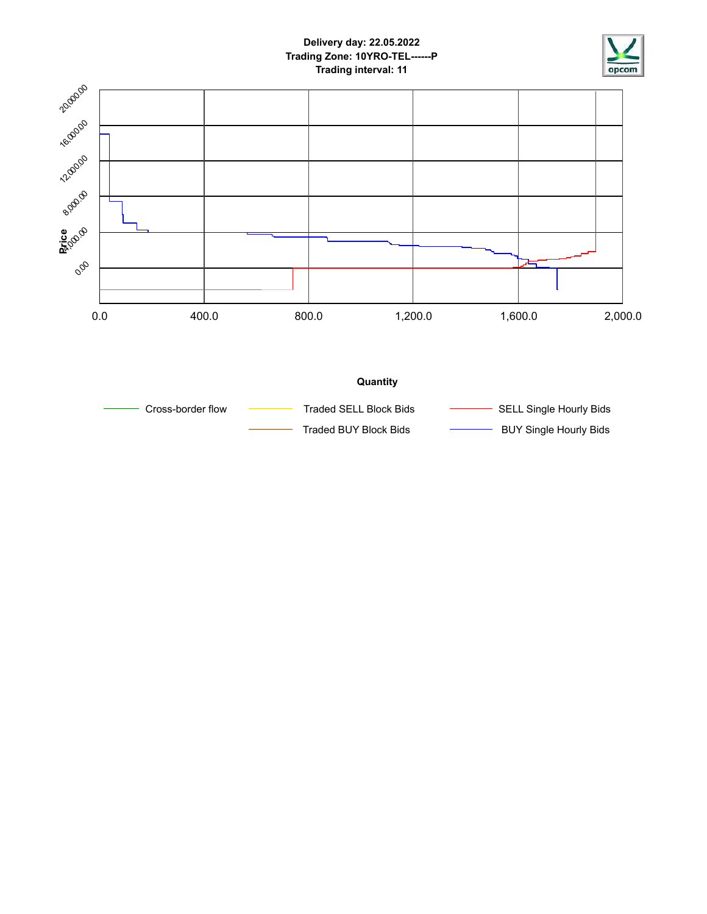

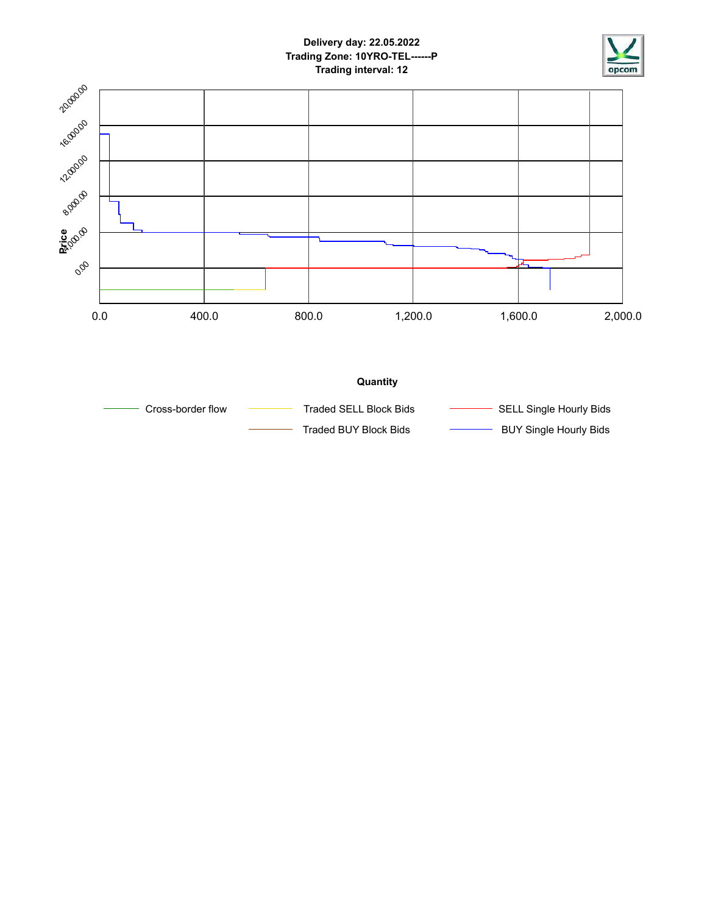

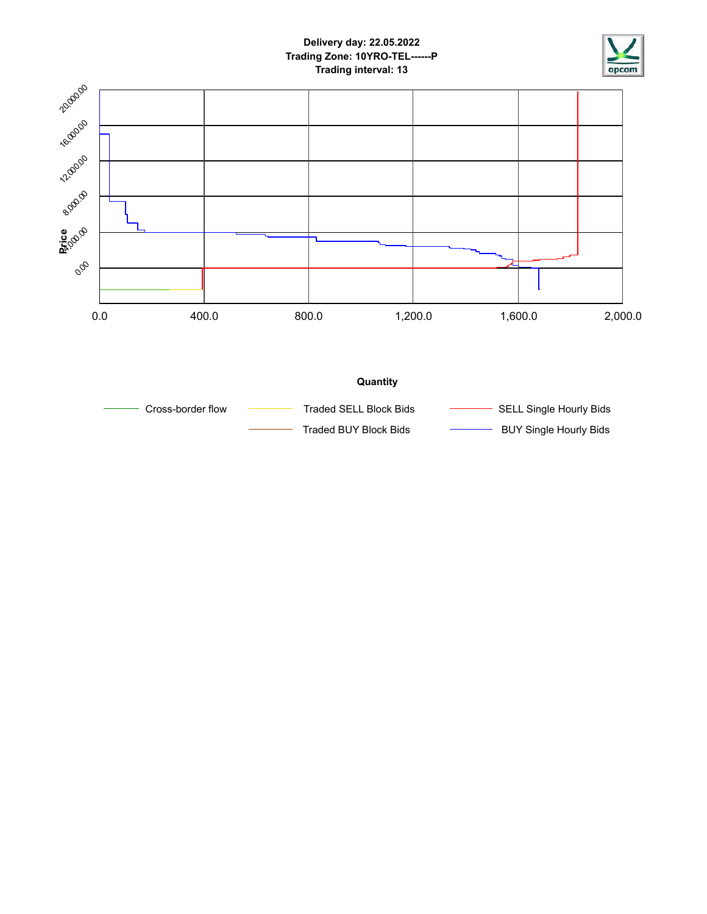

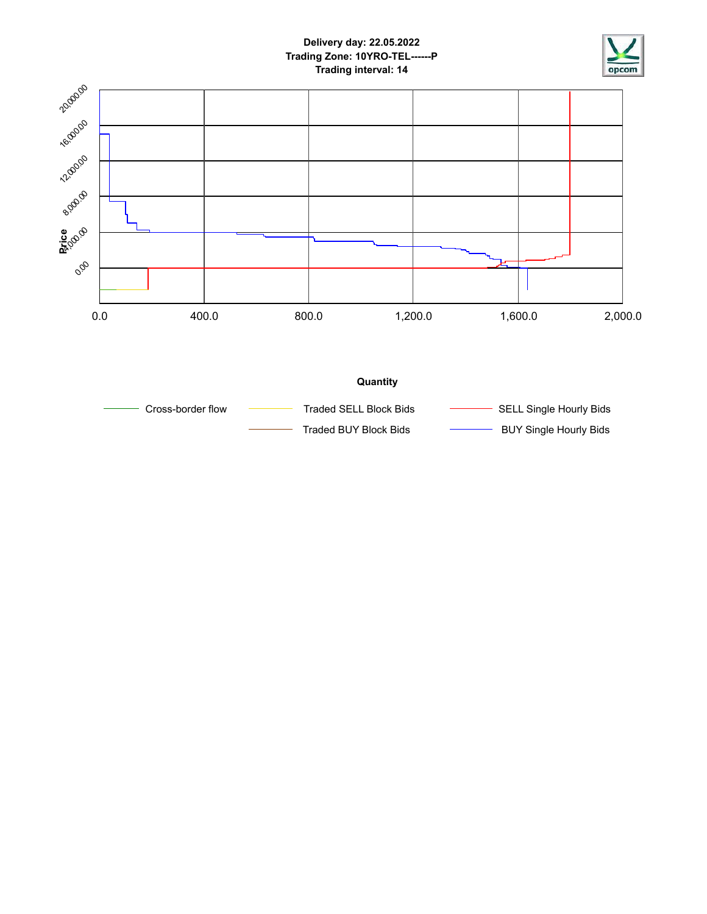

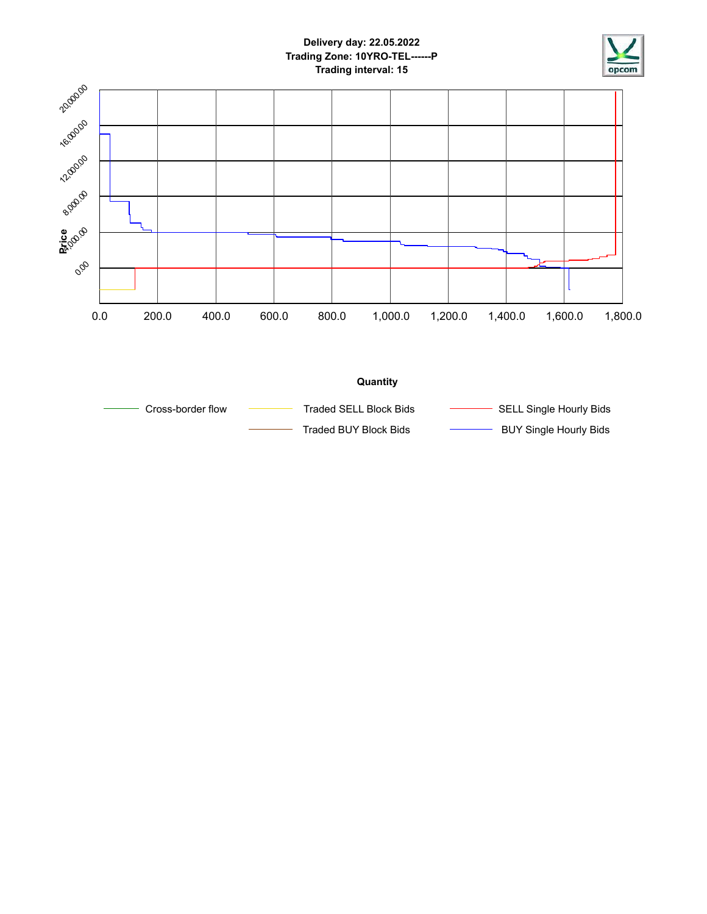

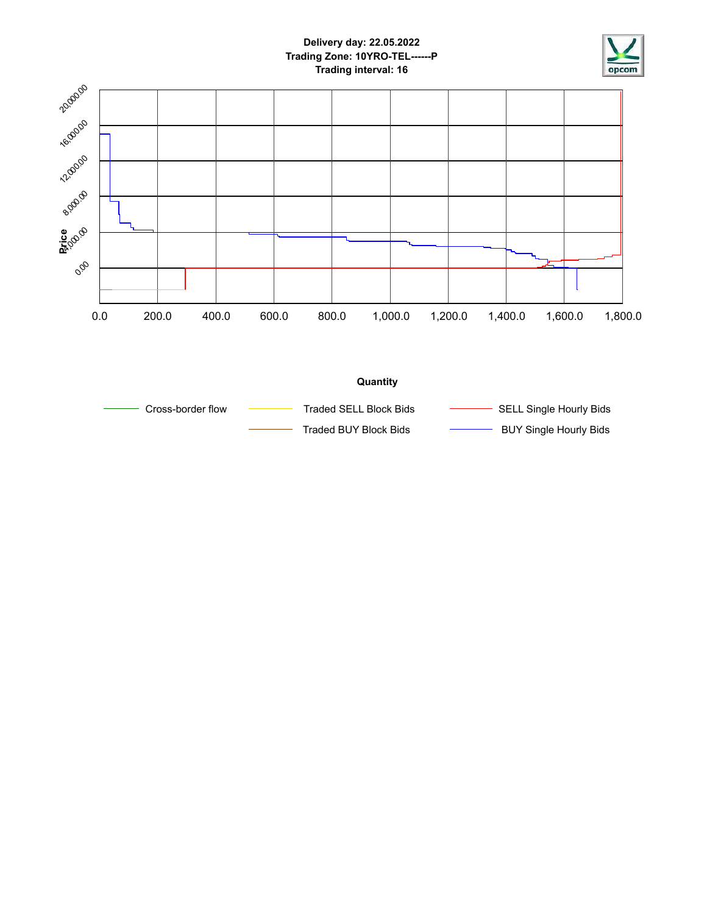

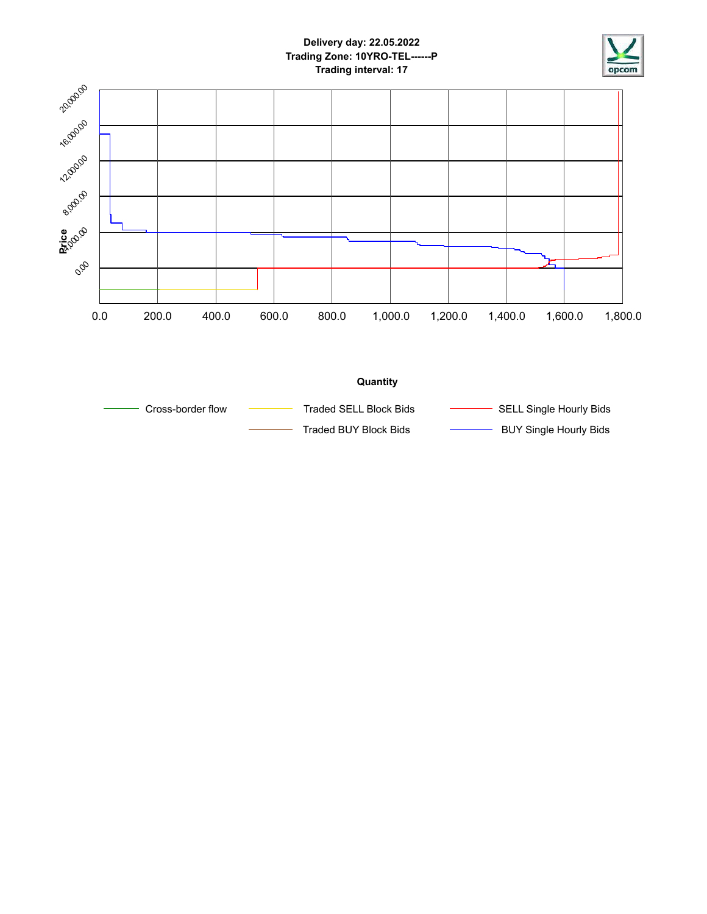

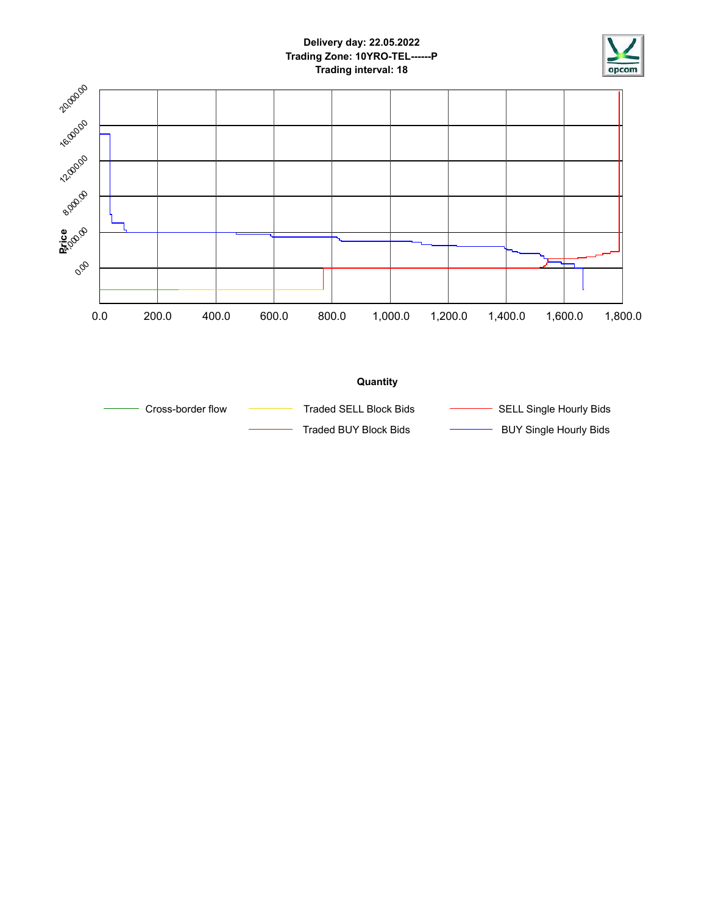

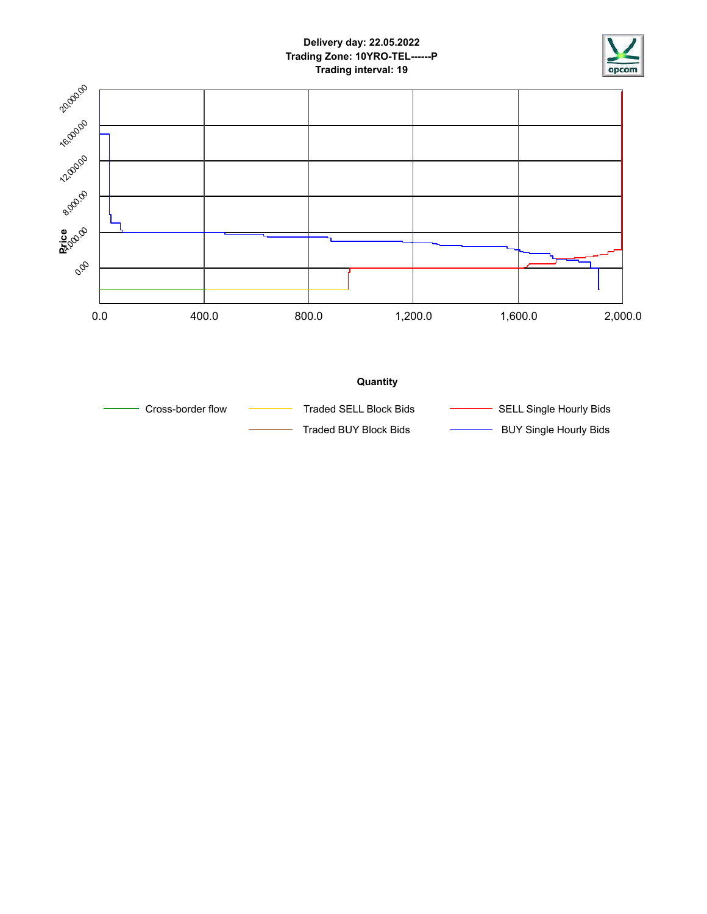

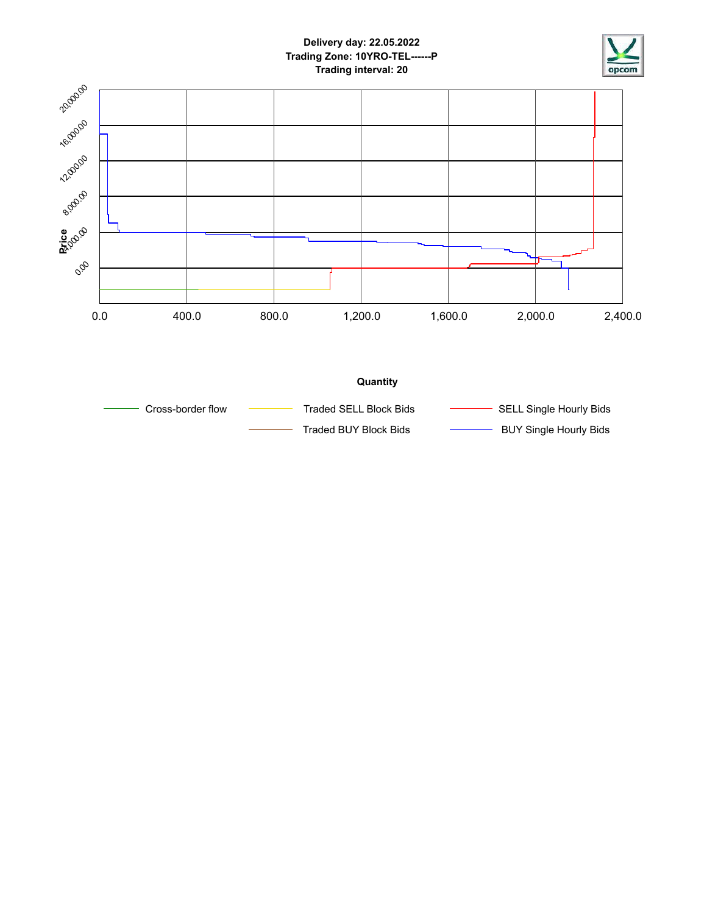



Traded BUY Block Bids **BUY Single Hourly Bids**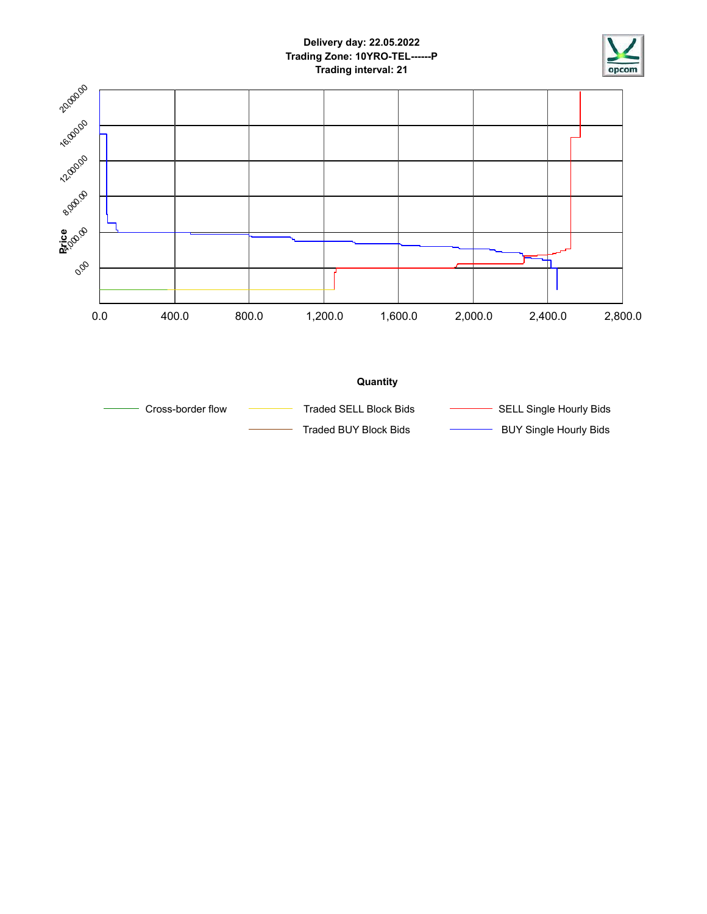

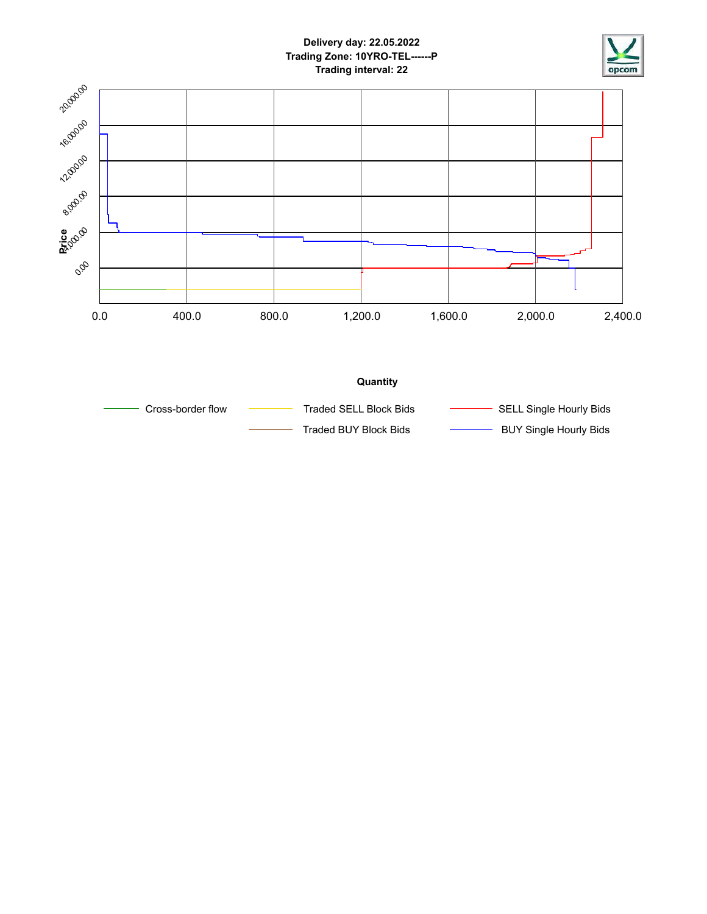



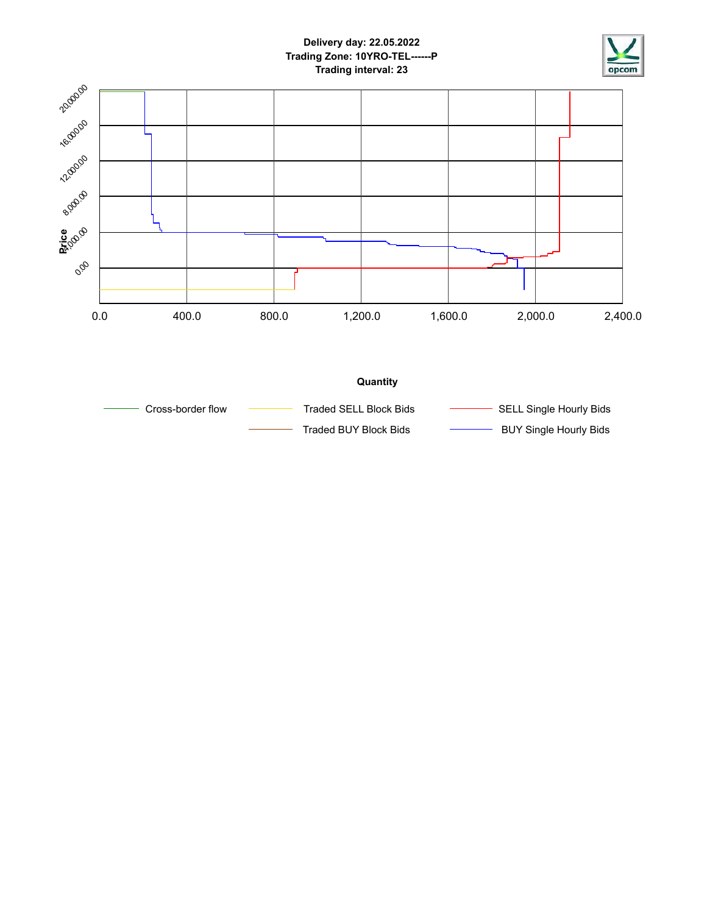